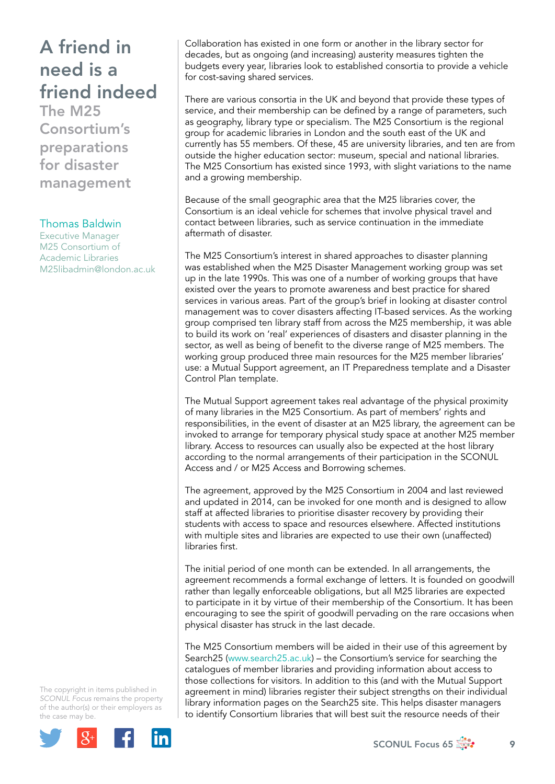## A friend in need is a friend indeed

The M25 Consortium's preparations for disaster management

## Thomas Baldwin

Executive Manager M25 Consortium of Academic Libraries [M25libadmin@london.ac.uk](mailto:M25libadmin@london.ac.uk)

Collaboration has existed in one form or another in the library sector for decades, but as ongoing (and increasing) austerity measures tighten the budgets every year, libraries look to established consortia to provide a vehicle for cost-saving shared services.

There are various consortia in the UK and beyond that provide these types of service, and their membership can be defined by a range of parameters, such as geography, library type or specialism. The M25 Consortium is the regional group for academic libraries in London and the south east of the UK and currently has 55 members. Of these, 45 are university libraries, and ten are from outside the higher education sector: museum, special and national libraries. The M25 Consortium has existed since 1993, with slight variations to the name and a growing membership.

Because of the small geographic area that the M25 libraries cover, the Consortium is an ideal vehicle for schemes that involve physical travel and contact between libraries, such as service continuation in the immediate aftermath of disaster.

The M25 Consortium's interest in shared approaches to disaster planning was established when the M25 Disaster Management working group was set up in the late 1990s. This was one of a number of working groups that have existed over the years to promote awareness and best practice for shared services in various areas. Part of the group's brief in looking at disaster control management was to cover disasters affecting IT-based services. As the working group comprised ten library staff from across the M25 membership, it was able to build its work on 'real' experiences of disasters and disaster planning in the sector, as well as being of benefit to the diverse range of M25 members. The working group produced three main resources for the M25 member libraries' use: a Mutual Support agreement, an IT Preparedness template and a Disaster Control Plan template.

The Mutual Support agreement takes real advantage of the physical proximity of many libraries in the M25 Consortium. As part of members' rights and responsibilities, in the event of disaster at an M25 library, the agreement can be invoked to arrange for temporary physical study space at another M25 member library. Access to resources can usually also be expected at the host library according to the normal arrangements of their participation in the SCONUL Access and / or M25 Access and Borrowing schemes.

The agreement, approved by the M25 Consortium in 2004 and last reviewed and updated in 2014, can be invoked for one month and is designed to allow staff at affected libraries to prioritise disaster recovery by providing their students with access to space and resources elsewhere. Affected institutions with multiple sites and libraries are expected to use their own (unaffected) libraries first.

The initial period of one month can be extended. In all arrangements, the agreement recommends a formal exchange of letters. It is founded on goodwill rather than legally enforceable obligations, but all M25 libraries are expected to participate in it by virtue of their membership of the Consortium. It has been encouraging to see the spirit of goodwill pervading on the rare occasions when physical disaster has struck in the last decade.

The M25 Consortium members will be aided in their use of this agreement by Search25 ([www.search25.ac.uk](http://www.search25.ac.uk)) – the Consortium's service for searching the catalogues of member libraries and providing information about access to those collections for visitors. In addition to this (and with the Mutual Support agreement in mind) libraries register their subject strengths on their individual library information pages on the Search25 site. This helps disaster managers to identify Consortium libraries that will best suit the resource needs of their

The copyright in items published in *SCONUL Focus* remains the property of the author(s) or their employers as the case may be.

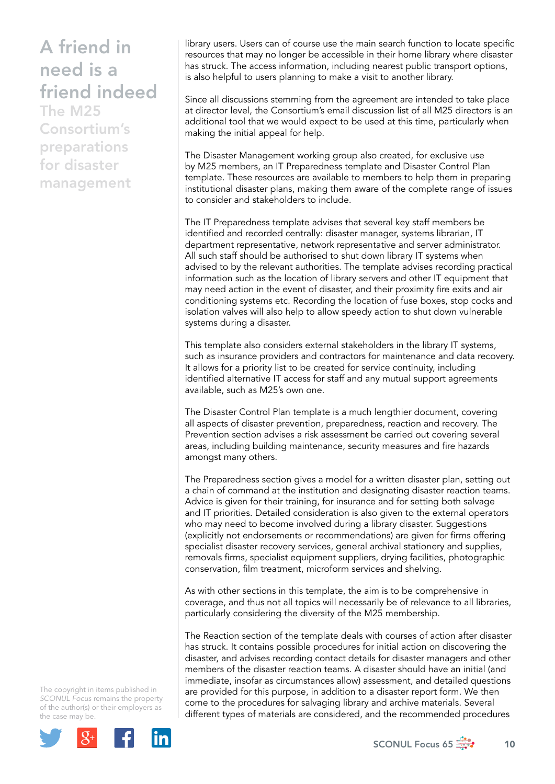## A friend in need is a friend indeed

The M25 Consortium's preparations for disaster management

library users. Users can of course use the main search function to locate specific resources that may no longer be accessible in their home library where disaster has struck. The access information, including nearest public transport options, is also helpful to users planning to make a visit to another library.

Since all discussions stemming from the agreement are intended to take place at director level, the Consortium's email discussion list of all M25 directors is an additional tool that we would expect to be used at this time, particularly when making the initial appeal for help.

The Disaster Management working group also created, for exclusive use by M25 members, an IT Preparedness template and Disaster Control Plan template. These resources are available to members to help them in preparing institutional disaster plans, making them aware of the complete range of issues to consider and stakeholders to include.

The IT Preparedness template advises that several key staff members be identified and recorded centrally: disaster manager, systems librarian, IT department representative, network representative and server administrator. All such staff should be authorised to shut down library IT systems when advised to by the relevant authorities. The template advises recording practical information such as the location of library servers and other IT equipment that may need action in the event of disaster, and their proximity fire exits and air conditioning systems etc. Recording the location of fuse boxes, stop cocks and isolation valves will also help to allow speedy action to shut down vulnerable systems during a disaster.

This template also considers external stakeholders in the library IT systems, such as insurance providers and contractors for maintenance and data recovery. It allows for a priority list to be created for service continuity, including identified alternative IT access for staff and any mutual support agreements available, such as M25's own one.

The Disaster Control Plan template is a much lengthier document, covering all aspects of disaster prevention, preparedness, reaction and recovery. The Prevention section advises a risk assessment be carried out covering several areas, including building maintenance, security measures and fire hazards amongst many others.

The Preparedness section gives a model for a written disaster plan, setting out a chain of command at the institution and designating disaster reaction teams. Advice is given for their training, for insurance and for setting both salvage and IT priorities. Detailed consideration is also given to the external operators who may need to become involved during a library disaster. Suggestions (explicitly not endorsements or recommendations) are given for firms offering specialist disaster recovery services, general archival stationery and supplies, removals firms, specialist equipment suppliers, drying facilities, photographic conservation, film treatment, microform services and shelving.

As with other sections in this template, the aim is to be comprehensive in coverage, and thus not all topics will necessarily be of relevance to all libraries, particularly considering the diversity of the M25 membership.

The Reaction section of the template deals with courses of action after disaster has struck. It contains possible procedures for initial action on discovering the disaster, and advises recording contact details for disaster managers and other members of the disaster reaction teams. A disaster should have an initial (and immediate, insofar as circumstances allow) assessment, and detailed questions are provided for this purpose, in addition to a disaster report form. We then come to the procedures for salvaging library and archive materials. Several different types of materials are considered, and the recommended procedures

The copyright in items published in *SCONUL Focus* remains the property of the author(s) or their employers as the case may be.